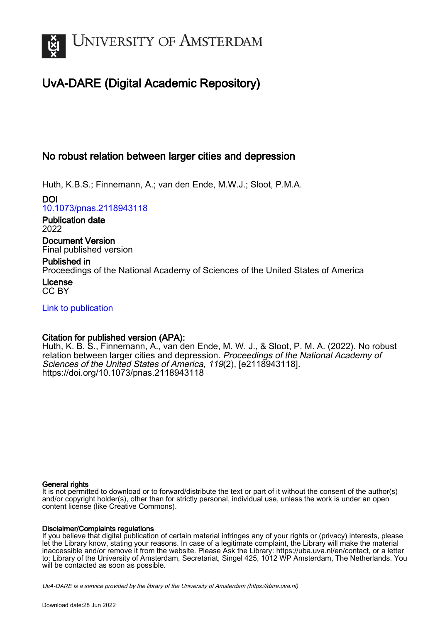

## UvA-DARE (Digital Academic Repository)

## No robust relation between larger cities and depression

Huth, K.B.S.; Finnemann, A.; van den Ende, M.W.J.; Sloot, P.M.A.

DOI [10.1073/pnas.2118943118](https://doi.org/10.1073/pnas.2118943118)

Publication date 2022

Document Version Final published version

#### Published in

Proceedings of the National Academy of Sciences of the United States of America License

CC BY

[Link to publication](https://dare.uva.nl/personal/pure/en/publications/no-robust-relation-between-larger-cities-and-depression(57c4762b-fe3a-491b-a327-1472837a0634).html)

### Citation for published version (APA):

Huth, K. B. S., Finnemann, A., van den Ende, M. W. J., & Sloot, P. M. A. (2022). No robust relation between larger cities and depression. Proceedings of the National Academy of Sciences of the United States of America, 119(2), [e2118943118]. <https://doi.org/10.1073/pnas.2118943118>

#### General rights

It is not permitted to download or to forward/distribute the text or part of it without the consent of the author(s) and/or copyright holder(s), other than for strictly personal, individual use, unless the work is under an open content license (like Creative Commons).

#### Disclaimer/Complaints regulations

If you believe that digital publication of certain material infringes any of your rights or (privacy) interests, please let the Library know, stating your reasons. In case of a legitimate complaint, the Library will make the material inaccessible and/or remove it from the website. Please Ask the Library: https://uba.uva.nl/en/contact, or a letter to: Library of the University of Amsterdam, Secretariat, Singel 425, 1012 WP Amsterdam, The Netherlands. You will be contacted as soon as possible.

UvA-DARE is a service provided by the library of the University of Amsterdam (http*s*://dare.uva.nl)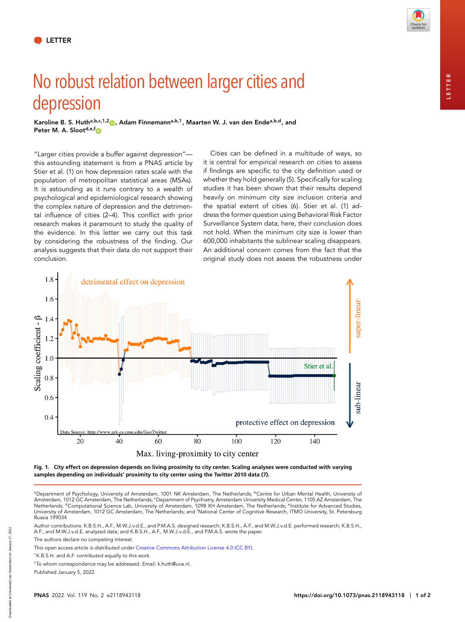# No robust relation between larger cities and depression

**Karoline B. S. Hutha,b,c,1,[2](http://orcid.org/0000-0002-0662-1591) , Adam Finnemanna,b,1, Maarten W. J. van den Endea,b,d, and Peter M. A. Slootd,e,[f](http://orcid.org/0000-0002-3848-5395)**

"Larger cities provide a buffer against depression" this astounding statement is from a PNAS article by Stier et al. (1) on how depression rates scale with the population of metropolitan statistical areas (MSAs). It is astounding as it runs contrary to a wealth of psychological and epidemiological research showing the complex nature of depression and the detrimental influence of cities (2–4). This conflict with prior research makes it paramount to study the quality of the evidence. In this letter we carry out this task by considering the robustness of the finding. Our analysis suggests that their data do not support their conclusion.

Cities can be defined in a multitude of ways, so it is central for empirical research on cities to assess if findings are specific to the city definition used or whether they hold generally (5). Specifically for scaling studies it has been shown that their results depend heavily on minimum city size inclusion criteria and the spatial extent of cities (6). Stier et al. (1) address the former question using Behavioral Risk Factor Surveillance System data; here, their conclusion does not hold. When the minimum city size is lower than 600,000 inhabitants the sublinear scaling disappears. An additional concern comes from the fact that the original study does not assess the robustness under



**Fig. 1. City effect on depression depends on living proximity to city center. Scaling analyses were conducted with varying samples depending on individuals' proximity to city center using the Twitter 2010 data (7).**

aDepartment of Psychology, University of Amsterdam, 1001 NK Amsterdam, The Netherlands; <sup>b</sup>Centre for Urban Mental Health, University of Amsterdam, 1012 GC Amsterdam, The Netherlands; <sup>c</sup>Department of Psychiatry, Amsterdam University Medical Center, 1105 AZ Amsterdam, The Netherlands; <sup>d</sup>Computational Science Lab, University of Amsterdam, 1098 XH Amsterdam, The Netherlands; <sup>e</sup>Institute for Advanced Studies, University of Amsterdam, 1012 GC Amsterdam, The Netherlands; and <sup>f</sup>National Center of Cognitive Research, ITMO University, St. Petersburg Russia 199034

Author contributions: K.B.S.H., A.F., M.W.J.v.d.E., and P.M.A.S. designed research; K.B.S.H., A.F., and M.W.J.v.d.E. performed research; K.B.S.H., A.F., and M.W.J.v.d.E. analyzed data; and K.B.S.H., A.F., M.W.J.v.d.E., and P.M.A.S. wrote the paper.

The authors declare no competing interest.

This open access article is distributed under [Creative Commons Attribution License 4.0 \(CC BY\).](https://creativecommons.org/licenses/by/4.0/)

<sup>1</sup>K.B.S.H. and A.F. contributed equally to this work.

 $^{2}$ To whom correspondence may be addressed. Email: [k.huth@uva.nl.](mailto:k.huth@uva.nl)

Published January 5, 2022.

**LETTER**

LETTER